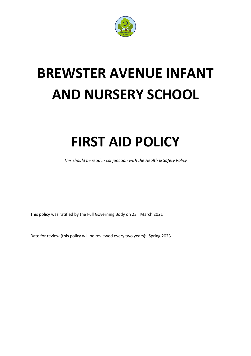

# **BREWSTER AVENUE INFANT AND NURSERY SCHOOL**

## **FIRST AID POLICY**

*This should be read in conjunction with the Health & Safety Policy*

This policy was ratified by the Full Governing Body on 23<sup>rd</sup> March 2021

Date for review (this policy will be reviewed every two years): Spring 2023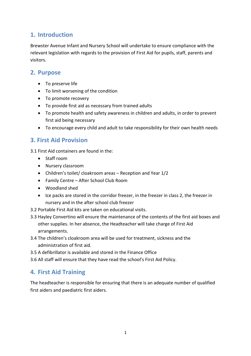#### **1. Introduction**

Brewster Avenue Infant and Nursery School will undertake to ensure compliance with the relevant legislation with regards to the provision of First Aid for pupils, staff, parents and visitors.

#### **2. Purpose**

- To preserve life
- To limit worsening of the condition
- To promote recovery
- To provide first aid as necessary from trained adults
- To promote health and safety awareness in children and adults, in order to prevent first aid being necessary
- To encourage every child and adult to take responsibility for their own health needs

## **3. First Aid Provision**

3.1 First Aid containers are found in the:

- Staff room
- Nursery classroom
- Children's toilet/ cloakroom areas Reception and Year 1/2
- Family Centre After School Club Room
- Woodland shed
- Ice packs are stored in the corridor freezer, in the freezer in class 2, the freezer in nursery and in the after school club freezer
- 3.2 Portable First Aid kits are taken on educational visits.
- 3.3 Hayley Convertino will ensure the maintenance of the contents of the first aid boxes and other supplies. In her absence, the Headteacher will take charge of First Aid arrangements.
- 3.4 The children's cloakroom area will be used for treatment, sickness and the administration of first aid.
- 3.5 A defibrillator is available and stored in the Finance Office
- 3.6 All staff will ensure that they have read the school's First Aid Policy.

## **4. First Aid Training**

The headteacher is responsible for ensuring that there is an adequate number of qualified first aiders and paediatric first aiders.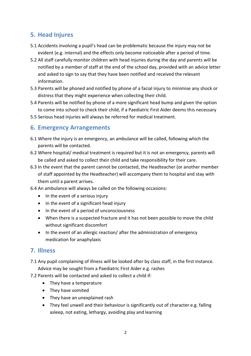## **5. Head Injures**

- 5.1 Accidents involving a pupil's head can be problematic because the injury may not be evident (e.g. internal) and the effects only become noticeable after a period of time.
- 5.2 All staff carefully monitor children with head injuries during the day and parents will be notified by a member of staff at the end of the school day, provided with an advice letter and asked to sign to say that they have been notified and received the relevant information.
- 5.3 Parents will be phoned and notified by phone of a facial injury to minimise any shock or distress that they might experience when collecting their child.
- 5.4 Parents will be notified by phone of a more significant head bump and given the option to come into school to check their child, if a Paediatric First Aider deems this necessary
- 5.5 Serious head injuries will always be referred for medical treatment.

### **6. Emergency Arrangements**

- 6.1 Where the injury is an emergency, an ambulance will be called, following which the parents will be contacted.
- 6.2 Where hospital/ medical treatment is required but it is not an emergency, parents will be called and asked to collect their child and take responsibility for their care.
- 6.3 In the event that the parent cannot be contacted, the Headteacher (or another member of staff appointed by the Headteacher) will accompany them to hospital and stay with them until a parent arrives.
- 6.4 An ambulance will always be called on the following occasions:
	- In the event of a serious injury
	- In the event of a significant head injury
	- In the event of a period of unconsciousness
	- When there is a suspected fracture and it has not been possible to move the child without significant discomfort
	- In the event of an allergic reaction/ after the administration of emergency medication for anaphylaxis

#### **7. Illness**

- 7.1 Any pupil complaining of illness will be looked after by class staff, in the first instance. Advice may be sought from a Paediatric First Aider e.g. rashes
- 7.2 Parents will be contacted and asked to collect a child if:
	- They have a temperature
	- They have vomited
	- They have an unexplained rash
	- They feel unwell and their behaviour is significantly out of character e.g. falling asleep, not eating, lethargy, avoiding play and learning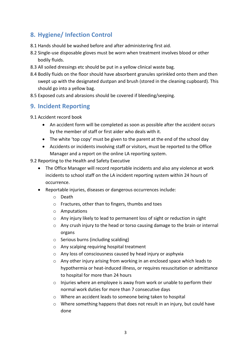## **8. Hygiene/ Infection Control**

- 8.1 Hands should be washed before and after administering first aid.
- 8.2 Single-use disposable gloves must be worn when treatment involves blood or other bodily fluids.
- 8.3 All soiled dressings etc should be put in a yellow clinical waste bag.
- 8.4 Bodily fluids on the floor should have absorbent granules sprinkled onto them and then swept up with the designated dustpan and brush (stored in the cleaning cupboard). This should go into a yellow bag.
- 8.5 Exposed cuts and abrasions should be covered if bleeding/seeping.

#### **9. Incident Reporting**

- 9.1 Accident record book
	- An accident form will be completed as soon as possible after the accident occurs by the member of staff or first aider who deals with it.
	- The white 'top copy' must be given to the parent at the end of the school day
	- Accidents or incidents involving staff or visitors, must be reported to the Office Manager and a report on the online LA reporting system.
- 9.2 Reporting to the Health and Safety Executive
	- The Office Manager will record reportable incidents and also any violence at work incidents to school staff on the LA incident reporting system within 24 hours of occurrence.
	- Reportable injuries, diseases or dangerous occurrences include:
		- o Death
		- o Fractures, other than to fingers, thumbs and toes
		- o Amputations
		- o Any injury likely to lead to permanent loss of sight or reduction in sight
		- $\circ$  Any crush injury to the head or torso causing damage to the brain or internal organs
		- o Serious burns (including scalding)
		- o Any scalping requiring hospital treatment
		- o Any loss of consciousness caused by head injury or asphyxia
		- o Any other injury arising from working in an enclosed space which leads to hypothermia or heat-induced illness, or requires resuscitation or admittance to hospital for more than 24 hours
		- $\circ$  Injuries where an employee is away from work or unable to perform their normal work duties for more than 7 consecutive days
		- o Where an accident leads to someone being taken to hospital
		- $\circ$  Where something happens that does not result in an injury, but could have done